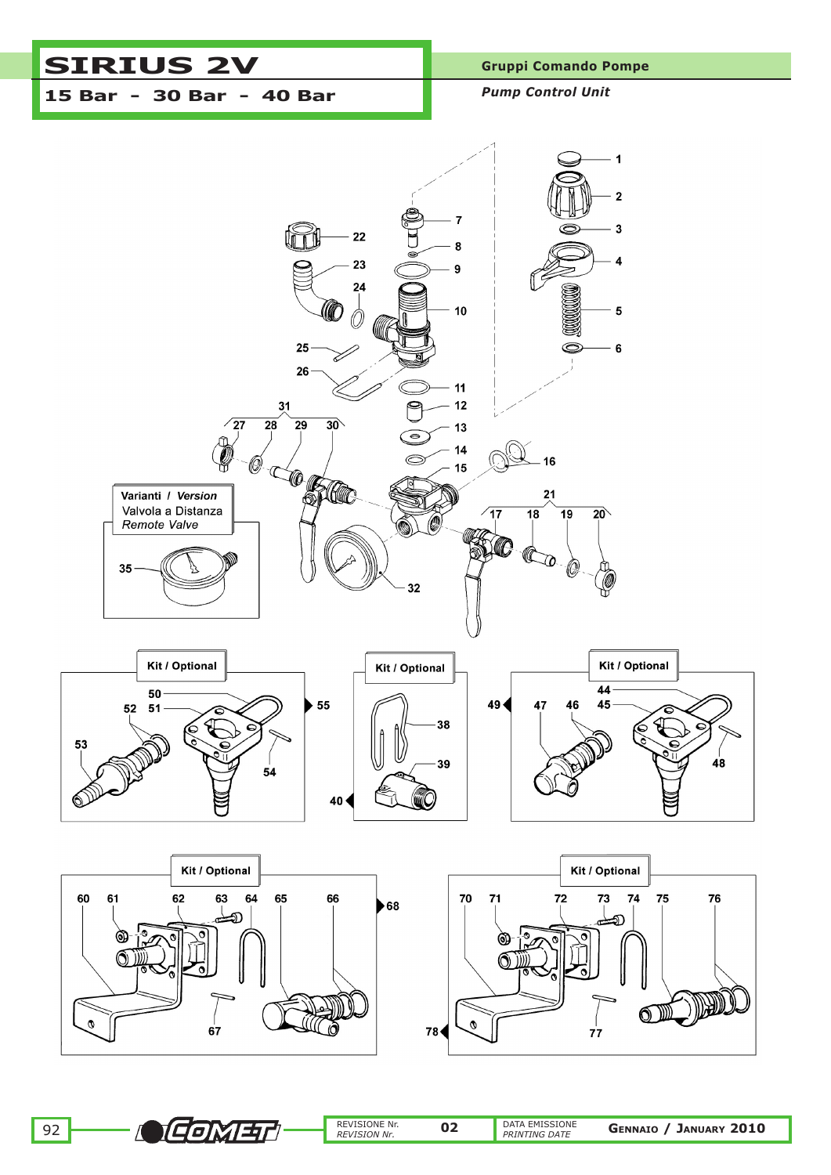# SIRIUS 2V Gruppi Comando Pompe **15 Bar - 30 Bar - 40 Bar** *Pump Control Unit*